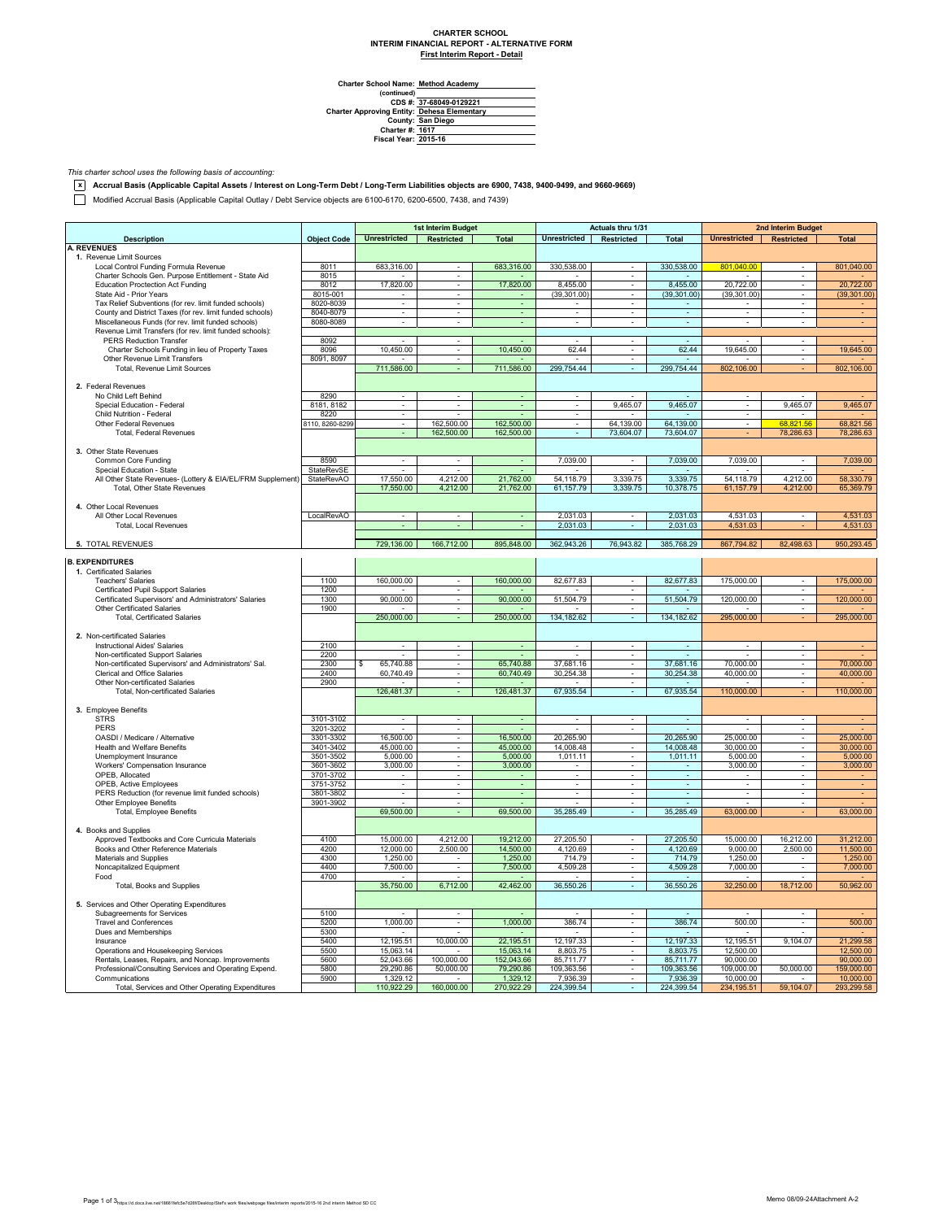## **CHARTER SCHOOL INTERIM FINANCIAL REPORT - ALTERNATIVE FORM First Interim Report - Detail**

**Method Academy**

Charter School Name<br>
(continued)<br>
CDS #:<br>
Charter Approving Entity:<br>
County:<br>
Charter #:<br>
Fiscal Year: **37-68049-0129221 Dehesa Elementary San Diego 1617 2015-16**

*This charter school uses the following basis of accounting:*

**x Accrual Basis (Applicable Capital Assets / Interest on Long-Term Debt / Long-Term Liabilities objects are 6900, 7438, 9400-9499, and 9660-9669)**

Modified Accrual Basis (Applicable Capital Outlay / Debt Service objects are 6100-6170, 6200-6500, 7438, and 7439)

|                                                                                            |                         | 1st Interim Budget       |                          | Actuals thru 1/31     |                          |                             | 2nd Interim Budget       |                          |                               |                       |
|--------------------------------------------------------------------------------------------|-------------------------|--------------------------|--------------------------|-----------------------|--------------------------|-----------------------------|--------------------------|--------------------------|-------------------------------|-----------------------|
| <b>Description</b>                                                                         | <b>Object Code</b>      | <b>Unrestricted</b>      | Restricted               | <b>Total</b>          | <b>Unrestricted</b>      | Restricted                  | <b>Total</b>             | <b>Unrestricted</b>      | Restricted                    | <b>Total</b>          |
| <b>A. REVENUES</b>                                                                         |                         |                          |                          |                       |                          |                             |                          |                          |                               |                       |
| 1. Revenue Limit Sources<br>Local Control Funding Formula Revenue                          | 8011                    | 683,316.00               |                          | 683,316.00            | 330,538.00               |                             | 330,538.00               | 801,040.00               |                               | 801,040.00            |
| Charter Schools Gen. Purpose Entitlement - State Aid                                       | 8015                    |                          | ÷                        |                       |                          | ÷                           |                          |                          | ÷                             |                       |
| <b>Education Proctection Act Funding</b>                                                   | 8012                    | 17,820.00                | $\sim$                   | 17,820.00             | 8,455.00                 | $\sim$                      | 8,455.00                 | 20,722.00                | $\overline{\phantom{a}}$      | 20,722.00             |
| State Aid - Prior Years                                                                    | 8015-001                | $\overline{\phantom{a}}$ | $\blacksquare$           | $\omega$              | (39, 301.00)             | $\mathcal{L}_{\mathcal{A}}$ | (39, 301.00)             | (39, 301.00)             | $\overline{\phantom{a}}$      | (39, 301.00)          |
| Tax Relief Subventions (for rev. limit funded schools)                                     | 8020-8039               | $\sim$                   | $\sim$                   | $\sim$                |                          | $\sim$                      |                          |                          | $\sim$                        |                       |
| County and District Taxes (for rev. limit funded schools)                                  | 8040-8079               |                          |                          |                       |                          |                             |                          |                          |                               |                       |
| Miscellaneous Funds (for rev. limit funded schools)                                        | 8080-8089               | ÷.                       | ÷                        | ÷.                    | $\mathbf{r}$             | ÷.                          | ÷.                       | $\overline{a}$           | ÷                             |                       |
| Revenue Limit Transfers (for rev. limit funded schools):<br><b>PERS Reduction Transfer</b> | 8092                    |                          | $\blacksquare$           |                       | $\overline{\phantom{a}}$ | $\overline{\phantom{a}}$    | $\sim$                   |                          | $\overline{\phantom{a}}$      |                       |
| Charter Schools Funding in lieu of Property Taxes                                          | 8096                    | 10,450.00                | $\sim$                   | 10,450.00             | 62.44                    | $\sim$                      | 62.44                    | 19,645.00                | $\sim$                        | 19,645.00             |
| Other Revenue Limit Transfers                                                              | 8091, 8097              |                          |                          |                       |                          |                             |                          |                          |                               |                       |
| Total, Revenue Limit Sources                                                               |                         | 711,586.00               | ä,                       | 711,586.00            | 299,754.44               | ÷.                          | 299,754.44               | 802,106.00               |                               | 802,106.00            |
|                                                                                            |                         |                          |                          |                       |                          |                             |                          |                          |                               |                       |
| 2. Federal Revenues                                                                        |                         |                          |                          |                       |                          |                             |                          |                          |                               |                       |
| No Child Left Behind                                                                       | 8290                    |                          | $\overline{\phantom{a}}$ |                       | $\sim$                   | $\sim$                      |                          |                          | $\overline{\phantom{a}}$      |                       |
| Special Education - Federal                                                                | 8181, 8182              | $\sim$                   | $\overline{\phantom{a}}$ | Ξ                     | $\blacksquare$<br>$\sim$ | 9,465.07                    | 9,465.07                 | ÷                        | 9,465.07                      | 9,465.07              |
| Child Nutrition - Federal<br>Other Federal Revenues                                        | 8220<br>8110, 8260-8299 | ٠                        | 162,500.00               | 162,500.00            | $\sim$                   | 64,139.00                   | 64,139.00                |                          | 68.821.56                     | 68,821.56             |
| Total, Federal Revenues                                                                    |                         | ÷                        | 162,500.00               | 162,500.00            | $\blacksquare$           | 73,604.07                   | 73,604.07                |                          | 78,286.63                     | 78,286.63             |
|                                                                                            |                         |                          |                          |                       |                          |                             |                          |                          |                               |                       |
| 3. Other State Revenues                                                                    |                         |                          |                          |                       |                          |                             |                          |                          |                               |                       |
| Common Core Funding                                                                        | 8590                    | $\sim$                   | $\sim$                   | $\sim$                | 7,039.00                 | ÷.                          | 7,039.00                 | 7,039.00                 |                               | 7,039.00              |
| Special Education - State                                                                  | StateRevSE              |                          |                          |                       |                          |                             |                          |                          |                               |                       |
| All Other State Revenues- (Lottery & EIA/EL/FRM Supplement) StateRevAO                     |                         | 17,550.00                | 4,212.00                 | 21,762.00             | 54,118.79                | 3,339.75                    | 3,339.75                 | 54,118.79                | 4,212.00                      | 58,330.79             |
| Total, Other State Revenues                                                                |                         | 17,550.00                | 4,212.00                 | 21,762.00             | 61,157.79                | 3,339.75                    | 10,378.75                | 61,157.79                | 4,212.00                      | 65,369.79             |
| 4. Other Local Revenues                                                                    |                         |                          |                          |                       |                          |                             |                          |                          |                               |                       |
| All Other Local Revenues                                                                   | LocalRevAO              |                          |                          | ٠                     | 2,031.03                 | $\overline{\phantom{a}}$    | 2,031.03                 | 4,531.03                 | $\overline{\phantom{a}}$      | 4,531.03              |
| Total, Local Revenues                                                                      |                         |                          |                          | $\sim$                | 2,031.03                 | $\sim$                      | 2,031.03                 | 4,531.03                 |                               | 4,531.03              |
|                                                                                            |                         |                          |                          |                       |                          |                             |                          |                          |                               |                       |
| 5. TOTAL REVENUES                                                                          |                         | 729,136.00               | 166,712.00               | 895,848.00            | 362,943.26               | 76,943.82                   | 385,768.29               | 867,794.82               | 82,498.63                     | 950,293.45            |
|                                                                                            |                         |                          |                          |                       |                          |                             |                          |                          |                               |                       |
| <b>B. EXPENDITURES</b>                                                                     |                         |                          |                          |                       |                          |                             |                          |                          |                               |                       |
| 1. Certificated Salaries<br><b>Teachers' Salaries</b>                                      |                         |                          |                          |                       |                          |                             |                          |                          | ä,                            |                       |
| Certificated Pupil Support Salaries                                                        | 1100<br>1200            | 160,000.00               |                          | 160,000.00            | 82,677.83                | $\sim$                      | 82,677.83                | 175,000.00               | $\mathbf{r}$                  | 175,000.00            |
| Certificated Supervisors' and Administrators' Salaries                                     | 1300                    | 90,000.00                | $\overline{\phantom{a}}$ | 90,000.00             | 51,504.79                | $\blacksquare$              | 51,504.79                | 120,000.00               | $\overline{\phantom{a}}$      | 120,000.00            |
| Other Certificated Salaries                                                                | 1900                    |                          | $\overline{\phantom{a}}$ |                       |                          | $\mathcal{L}_{\mathcal{A}}$ |                          |                          | ÷.                            |                       |
| <b>Total, Certificated Salaries</b>                                                        |                         | 250,000.00               | ÷                        | 250,000.00            | 134,182.62               | ÷.                          | 134, 182.62              | 295,000.00               |                               | 295,000.00            |
|                                                                                            |                         |                          |                          |                       |                          |                             |                          |                          |                               |                       |
| 2. Non-certificated Salaries                                                               |                         |                          |                          |                       |                          |                             |                          |                          |                               |                       |
| <b>Instructional Aides' Salaries</b>                                                       | 2100                    | $\mathbf{r}$             | $\omega$                 | ÷                     | $\blacksquare$           | $\omega$                    | $\mathbb{Z}^2$           | $\sim$                   | $\overline{\phantom{a}}$      |                       |
| Non-certificated Support Salaries                                                          | 2200                    |                          |                          |                       |                          | $\overline{\phantom{a}}$    |                          |                          | $\overline{\phantom{a}}$      |                       |
| Non-certificated Supervisors' and Administrators' Sal.                                     | 2300                    | 65,740.88<br>s           | $\sim$                   | 65.740.88             | 37,681.16                | $\sim$                      | 37.681.16                | 70,000.00                | ×                             | 70,000.00             |
| Clerical and Office Salaries<br>Other Non-certificated Salaries                            | 2400<br>2900            | 60,740.49                | ×.                       | 60,740.49             | 30,254.38                | $\blacksquare$              | 30,254.38                | 40,000.00                | $\blacksquare$<br>÷.          | 40,000.00             |
| Total, Non-certificated Salaries                                                           |                         | 126,481.37               |                          | 126,481.37            | 67,935.54                | ÷.                          | 67,935.54                | 110,000.00               |                               | 110,000.00            |
|                                                                                            |                         |                          |                          |                       |                          |                             |                          |                          |                               |                       |
| 3. Employee Benefits                                                                       |                         |                          |                          |                       |                          |                             |                          |                          |                               |                       |
| <b>STRS</b>                                                                                | 3101-3102               | $\overline{\phantom{a}}$ | $\overline{\phantom{a}}$ | $\blacksquare$        | $\overline{\phantom{a}}$ | $\sim$                      | $\overline{\phantom{a}}$ | $\overline{\phantom{a}}$ | $\overline{\phantom{a}}$      |                       |
| PERS                                                                                       | 3201-3202               |                          | $\sim$                   |                       |                          | ÷.                          |                          |                          | ä,                            |                       |
| OASDI / Medicare / Alternative                                                             | 3301-3302               | 16,500.00                | $\overline{\phantom{a}}$ | 16,500.00             | 20,265.90                |                             | 20,265.90                | 25,000.00                | $\overline{\phantom{a}}$      | 25,000.00             |
| Health and Welfare Benefits                                                                | 3401-3402               | 45,000.00                | $\overline{\phantom{a}}$ | 45,000.00             | 14,008.48                | $\overline{\phantom{a}}$    | 14,008.48                | 30,000.00                | $\overline{\phantom{a}}$      | 30,000.00             |
| Unemployment Insurance<br>Workers' Compensation Insurance                                  | 3501-3502<br>3601-3602  | 5,000.00                 |                          | 5,000.00              | 1,011.11                 | $\overline{\phantom{a}}$    | 1,011.11                 | 5,000.00                 | ÷<br>$\overline{\phantom{a}}$ | 5,000.00              |
| OPEB, Allocated                                                                            | 3701-3702               | 3,000.00<br>$\sim$       | $\sim$                   | 3,000.00<br>$\sim$    | $\sim$                   | $\sim$                      | $\sim$                   | 3,000.00<br>$\sim$       | ×                             | 3,000.00              |
| OPEB, Active Employees                                                                     | 3751-3752               |                          | $\omega$                 | $\omega$              | $\blacksquare$           | $\blacksquare$              | $\omega$                 |                          | ÷,                            |                       |
| PERS Reduction (for revenue limit funded schools)                                          | 3801-3802               | $\blacksquare$           | $\blacksquare$           | $\blacksquare$        | $\overline{\phantom{a}}$ | $\sim$                      | $\overline{\phantom{a}}$ | $\overline{\phantom{a}}$ | $\overline{\phantom{a}}$      |                       |
| Other Employee Benefits                                                                    | 3901-3902               |                          |                          |                       |                          |                             |                          |                          |                               |                       |
| Total, Employee Benefits                                                                   |                         | 69,500.00                | ÷                        | 69,500.00             | 35,285.49                | $\omega$                    | 35,285.49                | 63,000.00                |                               | 63,000.00             |
|                                                                                            |                         |                          |                          |                       |                          |                             |                          |                          |                               |                       |
| 4. Books and Supplies                                                                      |                         |                          |                          |                       |                          |                             |                          |                          |                               |                       |
| Approved Textbooks and Core Curricula Materials                                            | 4100                    | 15,000.00                | 4,212.00                 | 19,212.00             | 27,205.50                | $\sim$                      | 27,205.50                | 15,000.00                | 16,212.00                     | 31.212.00             |
| Books and Other Reference Materials<br>Materials and Supplies                              | 4200<br>4300            | 12,000.00<br>1,250.00    | 2,500.00<br>$\sim$       | 14,500.00<br>1,250.00 | 4,120.69<br>714.79       | $\mathbf{r}$                | 4,120.69<br>714.79       | 9,000.00<br>1,250.00     | 2,500.00<br>$\sim$            | 11,500.00<br>1,250.00 |
| Noncapitalized Equipment                                                                   | 4400                    | 7,500.00                 | ÷.                       | 7,500.00              | 4,509.28                 | $\mathbf{r}$                | 4,509.28                 | 7,000.00                 | ä,                            | 7,000.00              |
| Food                                                                                       | 4700                    |                          | $\sim$                   |                       |                          | $\sim$                      |                          |                          | $\sim$                        |                       |
| Total, Books and Supplies                                                                  |                         | 35,750.00                | 6,712.00                 | 42,462.00             | 36,550.26                | ×                           | 36,550.26                | 32,250.00                | 18,712.00                     | 50,962.00             |
|                                                                                            |                         |                          |                          |                       |                          |                             |                          |                          |                               |                       |
| 5. Services and Other Operating Expenditures                                               |                         |                          |                          |                       |                          |                             |                          |                          |                               |                       |
| Subagreements for Services                                                                 | 5100                    |                          | $\sim$                   |                       |                          | $\bar{z}$                   |                          |                          | $\overline{\phantom{a}}$      |                       |
| <b>Travel and Conferences</b>                                                              | 5200                    | 1,000.00                 | $\overline{\phantom{a}}$ | 1,000.00              | 386.74                   | $\overline{\phantom{a}}$    | 386.74                   | 500.00                   | $\overline{\phantom{a}}$      | 500.00                |
| Dues and Memberships<br>Insurance                                                          | 5300<br>5400            | 12,195.51                | 10,000.00                | 22,195.51             | 12,197.33                | ٠<br>$\bar{z}$              | 12, 197.33               | 12,195.51                | 9,104.07                      | 21,299.58             |
| Operations and Housekeeping Services                                                       | 5500                    | 15,063.14                |                          | 15.063.14             | 8,803.75                 | $\sim$                      | 8.803.75                 | 12,500.00                |                               | 12,500.00             |
| Rentals, Leases, Repairs, and Noncap. Improvements                                         | 5600                    | 52,043.66                | 100,000.00               | 152,043.66            | 85,711.77                | $\sim$                      | 85,711.77                | 90,000.00                |                               | 90,000.00             |
| Professional/Consulting Services and Operating Expend.                                     | 5800                    | 29,290.86                | 50,000.00                | 79,290.86             | 109,363.56               | $\overline{\phantom{a}}$    | 109,363.56               | 109,000.00               | 50,000.00                     | 159,000.00            |
| Communications                                                                             | 5900                    | 1,329.12                 |                          | 1,329.12              | 7,936.39                 |                             | 7,936.39                 | 10,000.00                |                               | 10,000.00             |
| Total, Services and Other Operating Expenditures                                           |                         | 110,922.29               | 160,000.00               | 270,922.29            | 224,399.54               |                             | 224,399.54               | 234,195.51               | 59,104.07                     | 293,299.58            |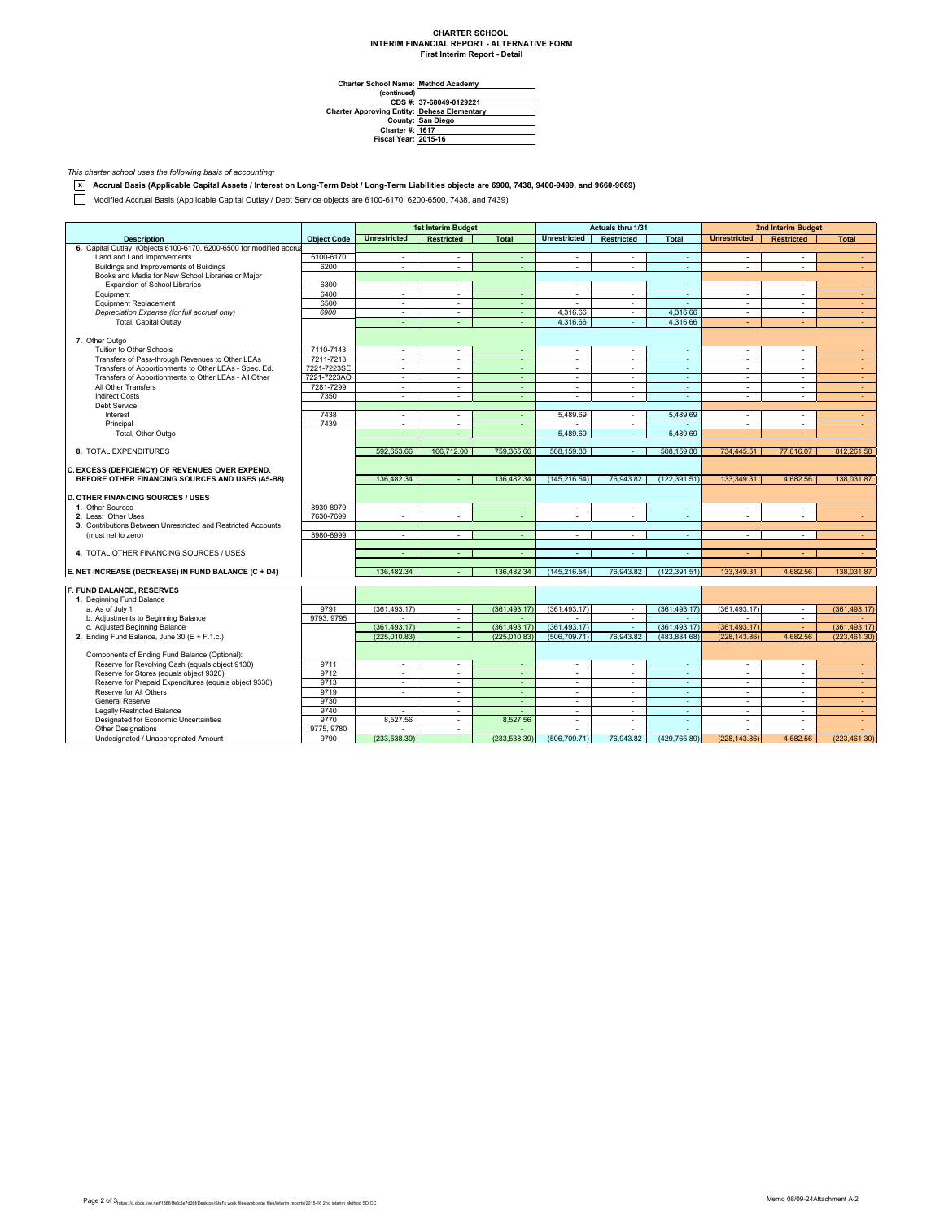## **CHARTER SCHOOL INTERIM FINANCIAL REPORT - ALTERNATIVE FORM First Interim Report - Detail**

**Method Academy**

Charter School Name<br>
(continued)<br>
CDS #:<br>
Charter Approving Entity:<br>
County:<br>
Charter #:<br>
Fiscal Year: **37-68049-0129221 Dehesa Elementary San Diego 1617 2015-16**

*This charter school uses the following basis of accounting:*

**x Accrual Basis (Applicable Capital Assets / Interest on Long-Term Debt / Long-Term Liabilities objects are 6900, 7438, 9400-9499, and 9660-9669)**

Modified Accrual Basis (Applicable Capital Outlay / Debt Service objects are 6100-6170, 6200-6500, 7438, and 7439)

|                                                                     |                    | 1st Interim Budget          |                          | Actuals thru 1/31 |                          |                          | 2nd Interim Budget             |                          |                   |                          |
|---------------------------------------------------------------------|--------------------|-----------------------------|--------------------------|-------------------|--------------------------|--------------------------|--------------------------------|--------------------------|-------------------|--------------------------|
| <b>Description</b>                                                  | <b>Object Code</b> | <b>Unrestricted</b>         | <b>Restricted</b>        | <b>Total</b>      | <b>Unrestricted</b>      | <b>Restricted</b>        | <b>Total</b>                   | <b>Unrestricted</b>      | <b>Restricted</b> | <b>Total</b>             |
| 6. Capital Outlay (Objects 6100-6170, 6200-6500 for modified accrua |                    |                             |                          |                   |                          |                          |                                |                          |                   |                          |
| Land and Land Improvements                                          | 6100-6170          | ÷                           | $\sim$                   | $\sim$            | $\sim$                   | ×.                       | $\sim$                         | $\sim$                   | $\mathbf{r}$      | $\sim$                   |
| Buildings and Improvements of Buildings                             | 6200               | ÷                           | $\sim$                   | ÷.                | ÷                        | ÷.                       | ×.                             | ÷.                       | ä,                | $\sim$                   |
| Books and Media for New School Libraries or Major                   |                    |                             |                          |                   |                          |                          |                                |                          |                   |                          |
| Expansion of School Libraries                                       | 6300               | ÷.                          | $\sim$                   | $\blacksquare$    | $\sim$                   | ÷.                       | ×.                             | ×                        | ÷.                | $\sim$                   |
| Equipment                                                           | 6400               | $\mathcal{L}_{\mathcal{A}}$ | $\sim$                   | ÷.                | $\sim$                   | ÷.                       | $\sim$                         | $\sim$                   | ÷.                | $\sim$                   |
| <b>Equipment Replacement</b>                                        | 6500               | $\sim$                      | $\sim$                   | $\sim$            | $\sim$                   | $\sim$                   | $\omega$                       | $\overline{\phantom{a}}$ | ٠                 | $\sim$                   |
| Depreciation Expense (for full accrual only)                        | 6900               | $\sim$                      | $\sim$                   | $\sim$            | 4.316.66                 | $\sim$                   | 4.316.66                       | $\overline{\phantom{a}}$ | ٠                 | $\sim$                   |
| Total, Capital Outlay                                               |                    | ÷                           | ÷                        | ÷.                | 4,316.66                 | ÷.                       | 4,316.66                       | ÷                        |                   | $\sim$                   |
|                                                                     |                    |                             |                          |                   |                          |                          |                                |                          |                   |                          |
| 7. Other Outgo                                                      |                    |                             |                          |                   |                          |                          |                                |                          |                   |                          |
| Tuition to Other Schools                                            | 7110-7143          | ÷                           | $\sim$                   | ÷                 | ÷                        | $\sim$                   | ÷.                             | $\Delta$                 | ÷                 | $\overline{\phantom{a}}$ |
| Transfers of Pass-through Revenues to Other LEAs                    | 7211-7213          | $\sim$                      | $\sim$                   | $\sim$            | $\overline{\phantom{a}}$ | $\sim$                   | $\sim$                         | $\overline{\phantom{a}}$ | $\sim$            | $\sim$                   |
| Transfers of Apportionments to Other LEAs - Spec. Ed.               | 7221-7223SE        | ÷                           | $\sim$                   | $\sim$            | $\sim$                   | $\sim$                   | $\sim$                         | $\overline{a}$           | ÷                 | $\sim$                   |
| Transfers of Apportionments to Other LEAs - All Other               | 7221-7223AO        | ÷.                          | $\sim$                   | ÷.                | ä,                       | ÷                        | $\sim$                         | ×,                       | ÷                 | $\sim$                   |
| All Other Transfers                                                 | 7281-7299          | $\sim$                      | $\sim$                   | $\sim$            | $\sim$                   | $\sim$                   | $\sim$                         | $\sim$                   | ٠                 | $\sim$                   |
| <b>Indirect Costs</b>                                               | 7350               | $\sim$                      | $\sim$                   | $\sim$            | $\mathbf{r}$             | $\sim$                   | $\sim$                         | $\sim$                   | ÷.                | $\sim$                   |
| Debt Service:                                                       |                    |                             |                          |                   |                          |                          |                                |                          |                   |                          |
| Interest                                                            | 7438               | $\sim$                      | $\sim$                   | $\sim$            | 5.489.69                 | $\sim$                   | 5.489.69                       | $\sim$                   | $\sim$            | $\sim$                   |
| Principal                                                           | 7439               | $\sim$                      | $\sim$                   | $\sim$            |                          | $\sim$                   |                                | $\overline{\phantom{a}}$ | ٠                 | $\sim$                   |
| Total, Other Outgo                                                  |                    | ÷                           | ÷.                       | $\omega$          | 5.489.69                 | ÷.                       | 5.489.69                       | ÷                        |                   | $\sim$                   |
|                                                                     |                    |                             |                          |                   |                          |                          |                                |                          |                   |                          |
| 8. TOTAL EXPENDITURES                                               |                    | 592,653.66                  | 166,712.00               | 759,365.66        | 508,159.80               | $\sim$                   | 508,159.80                     | 734,445.51               | 77,816.07         | 812,261.58               |
|                                                                     |                    |                             |                          |                   |                          |                          |                                |                          |                   |                          |
| C. EXCESS (DEFICIENCY) OF REVENUES OVER EXPEND.                     |                    |                             |                          |                   |                          |                          |                                |                          |                   |                          |
| BEFORE OTHER FINANCING SOURCES AND USES (A5-B8)                     |                    | 136.482.34                  |                          | 136,482.34        | (145.216.54)             | 76,943.82                | (122.391.51)                   | 133,349.31               | 4,682.56          | 138,031.87               |
|                                                                     |                    |                             |                          |                   |                          |                          |                                |                          |                   |                          |
| <b>D. OTHER FINANCING SOURCES / USES</b>                            |                    |                             |                          |                   |                          |                          |                                |                          |                   |                          |
| 1. Other Sources                                                    | 8930-8979          | $\sim$                      | $\sim$                   | ÷                 | $\blacksquare$           | $\sim$                   |                                | $\sim$                   | ÷.                |                          |
| 2. Less: Other Uses                                                 |                    | ÷                           | $\sim$                   | $\sim$            | ÷.                       | $\sim$                   | $\overline{\phantom{a}}$<br>÷. | ÷.                       | ÷.                | $\sim$<br>$\sim$         |
|                                                                     | 7630-7699          |                             |                          |                   |                          |                          |                                |                          |                   |                          |
| 3. Contributions Between Unrestricted and Restricted Accounts       |                    |                             |                          |                   |                          |                          |                                |                          |                   |                          |
| (must net to zero)                                                  | 8980-8999          | $\sim$                      | $\sim$                   | ٠                 | $\blacksquare$           | $\sim$                   | $\overline{\phantom{a}}$       | $\Delta$                 | ٠                 | $\sim$                   |
|                                                                     |                    |                             |                          |                   |                          |                          |                                |                          |                   |                          |
| 4. TOTAL OTHER FINANCING SOURCES / USES                             |                    | $\overline{\phantom{a}}$    | $\sim$                   | $\sim$            | $\sim$                   | $\sim$                   | $\sim$                         |                          |                   | $\sim$                   |
|                                                                     |                    |                             |                          |                   |                          |                          |                                |                          |                   |                          |
| E. NET INCREASE (DECREASE) IN FUND BALANCE (C + D4)                 |                    | 136,482.34                  |                          | 136,482.34        | (145, 216.54)            | 76,943.82                | (122, 391.51)                  | 133,349.31               | 4.682.56          | 138,031.87               |
|                                                                     |                    |                             |                          |                   |                          |                          |                                |                          |                   |                          |
| F. FUND BALANCE, RESERVES                                           |                    |                             |                          |                   |                          |                          |                                |                          |                   |                          |
| 1. Beginning Fund Balance                                           |                    |                             |                          |                   |                          |                          |                                |                          |                   |                          |
| a. As of July 1                                                     | 9791               | (361.493.17)                | $\sim$                   | (361.493.17)      | (361.493.17)             | $\sim$                   | (361.493.17)                   | (361.493.17)             | $\sim$            | (361.493.17)             |
| b. Adjustments to Beginning Balance                                 | 9793, 9795         |                             | $\overline{\phantom{a}}$ |                   |                          | $\overline{\phantom{a}}$ |                                |                          | ٠                 |                          |
| c. Adjusted Beginning Balance                                       |                    | (361, 493.17)               | $\sim$                   | (361.493.17)      | (361.493.17)             | ÷.                       | (361, 493.17)                  | (361.493.17)             | $\sim$            | (361.493.17)             |
| 2. Ending Fund Balance, June 30 (E + F.1.c.)                        |                    | (225.010.83)                | $\sim$                   | (225.010.83)      | (506, 709, 71)           | 76,943.82                | (483.884.68)                   | (228.143.86)             | 4,682.56          | (223, 461.30)            |
|                                                                     |                    |                             |                          |                   |                          |                          |                                |                          |                   |                          |
| Components of Ending Fund Balance (Optional):                       |                    |                             |                          |                   |                          |                          |                                |                          |                   |                          |
| Reserve for Revolving Cash (equals object 9130)                     | 9711               | ×.                          | $\sim$                   | ÷.                | $\sim$                   | ×.                       | $\sim$                         | $\sim$                   | $\mathbf{r}$      | $\sim$                   |
| Reserve for Stores (equals object 9320)                             | 9712               | $\sim$                      | $\sim$                   | ÷.                | $\blacksquare$           | $\overline{\phantom{a}}$ | $\omega$                       | $\blacksquare$           | ٠                 | ÷                        |
| Reserve for Prepaid Expenditures (equals object 9330)               | 9713               | $\sim$                      | $\sim$                   | $\sim$            | $\sim$                   | $\sim$                   | $\sim$                         | $\sim$                   | ÷.                | $\sim$                   |
| Reserve for All Others                                              | 9719               | ×.                          | $\sim$                   | ÷.                | $\sim$                   | $\sim$                   | $\sim$                         | $\sim$                   | ÷                 | $\sim$                   |
| <b>General Reserve</b>                                              | 9730               |                             | $\sim$                   | ä,                | ä,                       | $\sim$                   | $\sim$                         | $\blacksquare$           | ٠                 | $\sim$                   |
| <b>Legally Restricted Balance</b>                                   | 9740               | $\sim$                      | $\sim$                   | ٠                 | $\sim$                   | $\sim$                   | $\sim$                         | $\sim$                   | $\mathbf{r}$      | $\sim$                   |
| Designated for Economic Uncertainties                               | 9770               | 8,527.56                    | $\sim$                   | 8,527.56          | $\overline{\phantom{a}}$ | $\sim$                   | $\sim$                         | $\sim$                   | $\mathbf{r}$      | $\sim$                   |
| <b>Other Designations</b>                                           | 9775, 9780         |                             | $\mathbf{r}$             |                   |                          |                          | ÷.                             |                          |                   |                          |
| Undesignated / Unappropriated Amount                                | 9790               | (233, 538.39)               | $\sim$                   | (233, 538.39)     | (506, 709.71)            | 76.943.82                | (429, 765.89)                  | (228.143.86)             | 4.682.56          | (223, 461.30)            |